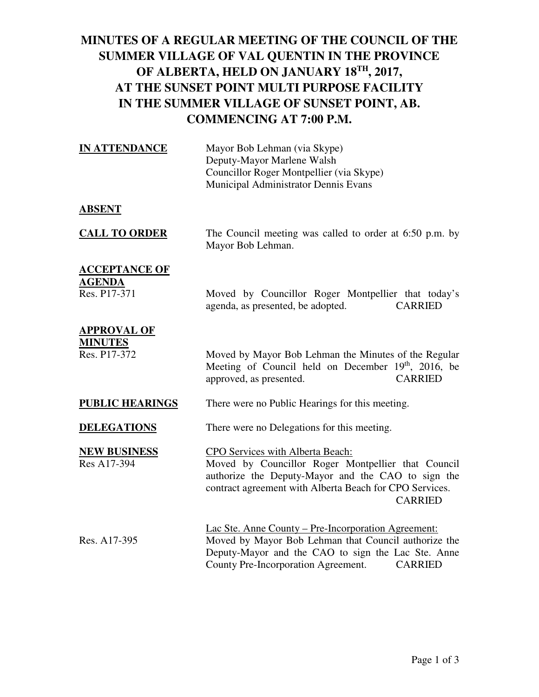## **MINUTES OF A REGULAR MEETING OF THE COUNCIL OF THE SUMMER VILLAGE OF VAL QUENTIN IN THE PROVINCE OF ALBERTA, HELD ON JANUARY 18TH, 2017, AT THE SUNSET POINT MULTI PURPOSE FACILITY IN THE SUMMER VILLAGE OF SUNSET POINT, AB. COMMENCING AT 7:00 P.M.**

| <b>IN ATTENDANCE</b>                                  | Mayor Bob Lehman (via Skype)<br>Deputy-Mayor Marlene Walsh<br>Councillor Roger Montpellier (via Skype)<br>Municipal Administrator Dennis Evans                                                                            |
|-------------------------------------------------------|---------------------------------------------------------------------------------------------------------------------------------------------------------------------------------------------------------------------------|
| <b>ABSENT</b>                                         |                                                                                                                                                                                                                           |
| <b>CALL TO ORDER</b>                                  | The Council meeting was called to order at 6:50 p.m. by<br>Mayor Bob Lehman.                                                                                                                                              |
| <b>ACCEPTANCE OF</b><br><b>AGENDA</b><br>Res. P17-371 | Moved by Councillor Roger Montpellier that today's<br>agenda, as presented, be adopted.<br><b>CARRIED</b>                                                                                                                 |
| <b>APPROVAL OF</b><br><b>MINUTES</b><br>Res. P17-372  | Moved by Mayor Bob Lehman the Minutes of the Regular<br>Meeting of Council held on December 19th, 2016, be<br>approved, as presented.<br><b>CARRIED</b>                                                                   |
| <b>PUBLIC HEARINGS</b>                                | There were no Public Hearings for this meeting.                                                                                                                                                                           |
| <b>DELEGATIONS</b>                                    | There were no Delegations for this meeting.                                                                                                                                                                               |
| <b>NEW BUSINESS</b><br>Res A17-394                    | CPO Services with Alberta Beach:<br>Moved by Councillor Roger Montpellier that Council<br>authorize the Deputy-Mayor and the CAO to sign the<br>contract agreement with Alberta Beach for CPO Services.<br><b>CARRIED</b> |
| Res. A17-395                                          | Lac Ste. Anne County – Pre-Incorporation Agreement:<br>Moved by Mayor Bob Lehman that Council authorize the<br>Deputy-Mayor and the CAO to sign the Lac Ste. Anne                                                         |

County Pre-Incorporation Agreement. CARRIED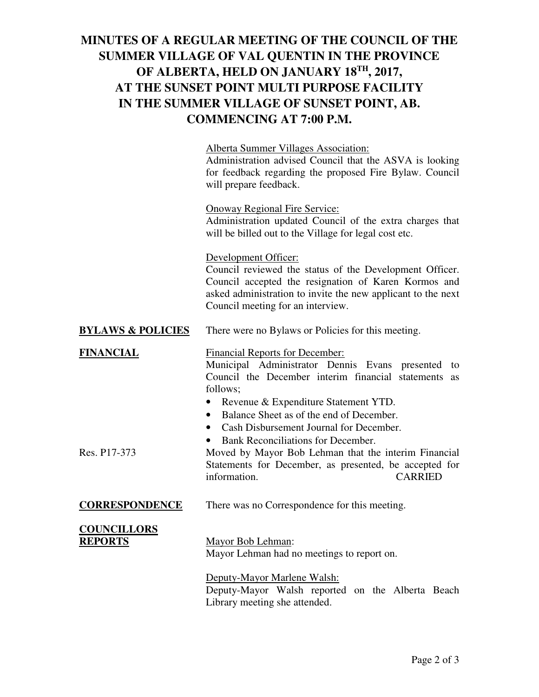## **MINUTES OF A REGULAR MEETING OF THE COUNCIL OF THE SUMMER VILLAGE OF VAL QUENTIN IN THE PROVINCE OF ALBERTA, HELD ON JANUARY 18TH, 2017, AT THE SUNSET POINT MULTI PURPOSE FACILITY IN THE SUMMER VILLAGE OF SUNSET POINT, AB. COMMENCING AT 7:00 P.M.**

|                                      | <b>Alberta Summer Villages Association:</b><br>Administration advised Council that the ASVA is looking<br>for feedback regarding the proposed Fire Bylaw. Council<br>will prepare feedback.                                                                         |
|--------------------------------------|---------------------------------------------------------------------------------------------------------------------------------------------------------------------------------------------------------------------------------------------------------------------|
|                                      | <b>Onoway Regional Fire Service:</b><br>Administration updated Council of the extra charges that<br>will be billed out to the Village for legal cost etc.                                                                                                           |
|                                      | Development Officer:<br>Council reviewed the status of the Development Officer.<br>Council accepted the resignation of Karen Kormos and<br>asked administration to invite the new applicant to the next<br>Council meeting for an interview.                        |
| <b>BYLAWS &amp; POLICIES</b>         | There were no Bylaws or Policies for this meeting.                                                                                                                                                                                                                  |
| <b>FINANCIAL</b>                     | <b>Financial Reports for December:</b><br>Municipal Administrator Dennis Evans presented<br>to<br>Council the December interim financial statements as<br>follows;<br>Revenue & Expenditure Statement YTD.<br>Balance Sheet as of the end of December.<br>$\bullet$ |
| Res. P17-373                         | Cash Disbursement Journal for December.<br>$\bullet$<br>Bank Reconciliations for December.<br>Moved by Mayor Bob Lehman that the interim Financial<br>Statements for December, as presented, be accepted for<br>information.<br><b>CARRIED</b>                      |
| <b>CORRESPONDENCE</b>                | There was no Correspondence for this meeting.                                                                                                                                                                                                                       |
| <b>COUNCILLORS</b><br><b>REPORTS</b> | Mayor Bob Lehman:<br>Mayor Lehman had no meetings to report on.                                                                                                                                                                                                     |
|                                      | Deputy-Mayor Marlene Walsh:<br>Deputy-Mayor Walsh reported on the Alberta Beach                                                                                                                                                                                     |

Library meeting she attended.